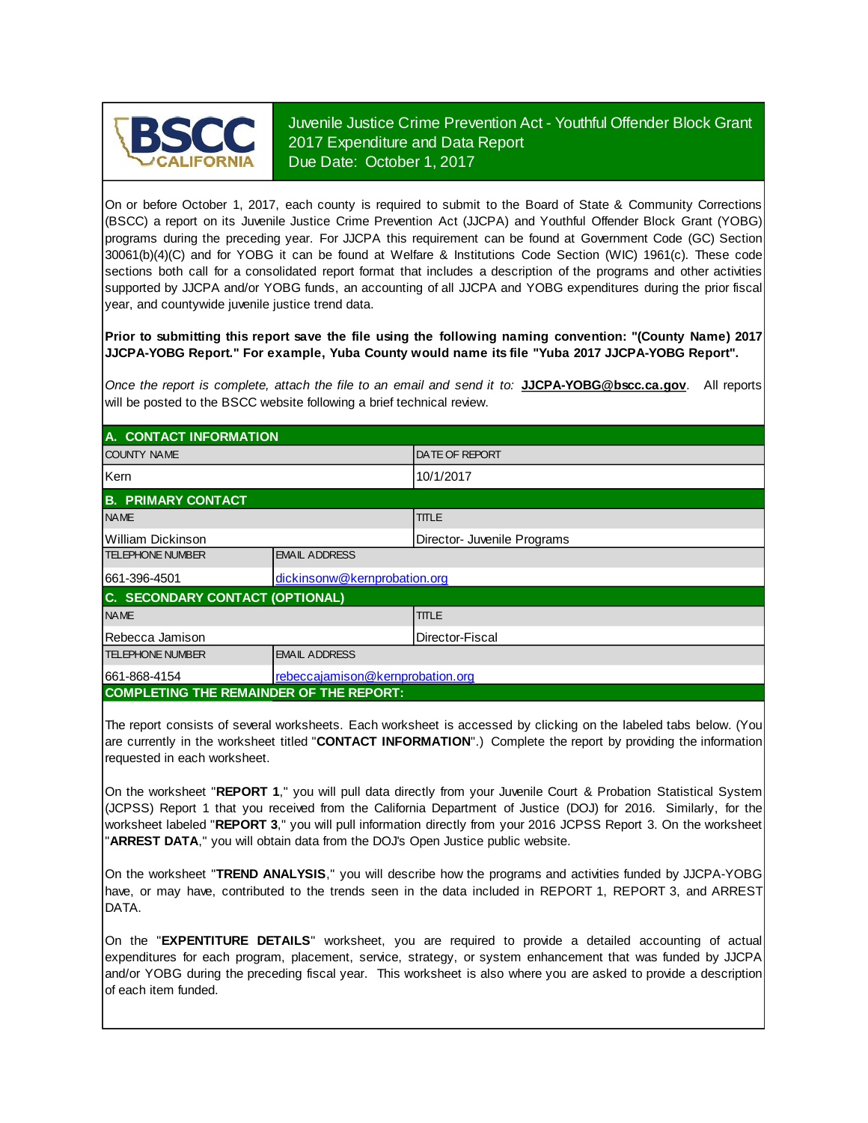

Juvenile Justice Crime Prevention Act - Youthful Offender Block Grant 2017 Expenditure and Data Report Due Date: October 1, 2017

On or before October 1, 2017, each county is required to submit to the Board of State & Community Corrections (BSCC) <sup>a</sup> report on its Juvenile Justice Crime Prevention Act (JJCPA) and Youthful Offender Block Grant (YOBG) programs during the preceding year. For JJCPA this requirement can be found at Government Code (GC) Section 30061(b)(4)(C) and for YOBG it can be found at Welfare & Institutions Code Section (WIC) 1961(c). These code sections both call for <sup>a</sup> consolidated report format that includes <sup>a</sup> description of the programs and other activities supported by JJCPA and/or YOBG funds, an accounting of all JJCPA and YOBG expenditures during the prior fiscal year, and countywide juvenile justice trend data.

**Prior to submitting this report save the file using the following naming convention: "(County Name) 2017 JJCPA-YOBG Report." For example, Yuba County would name its file "Yuba 2017 JJCPA-YOBG Report".**

*Once the report is complete, attach the file t o an email and send it to:* **JJCPA-YOBG@bscc.ca.gov**. All reports will be posted to the BSCC website following a brief technical review.

| A. CONTACT INFORMATION                         |                                  |                             |  |
|------------------------------------------------|----------------------------------|-----------------------------|--|
| <b>COUNTY NAME</b>                             |                                  | <b>DATE OF REPORT</b>       |  |
| Kern                                           |                                  | 10/1/2017                   |  |
| <b>B. PRIMARY CONTACT</b>                      |                                  |                             |  |
| <b>NAME</b>                                    |                                  | <b>TITLE</b>                |  |
| William Dickinson                              |                                  | Director- Juvenile Programs |  |
| <b>TELEPHONE NUMBER</b>                        | <b>EMAIL ADDRESS</b>             |                             |  |
| 661-396-4501                                   | dickinsonw@kernprobation.org     |                             |  |
| C. SECONDARY CONTACT (OPTIONAL)                |                                  |                             |  |
| <b>NAME</b>                                    |                                  | <b>TITLE</b>                |  |
| Rebecca Jamison                                | IDirector-Fiscal                 |                             |  |
| <b>TELEPHONE NUMBER</b>                        | <b>EMAIL ADDRESS</b>             |                             |  |
| 661-868-4154                                   | rebeccajamison@kernprobation.org |                             |  |
| <b>COMPLETING THE REMAINDER OF THE REPORT:</b> |                                  |                             |  |

The report consists of several worksheets. Each worksheet is accessed by clicking on the labeled tabs below. (You are currently in the worksheet titled "**CONTACT INFORMATION**".) Complete the report by providing the information requested in each worksheet.

On the worksheet "REPORT 1," you will pull data directly from your Juvenile Court & Probation Statistical System (JCPSS) Report 1 that you received from the California Department of Justice (DOJ) for 2016. Similarly, for the worksheet labeled "REPORT 3," you will pull information directly from your 2016 JCPSS Report 3. On the worksheet "**ARREST DATA**," you will obtain data from the DOJ's Open Justice public website.

On the worksheet "**TREND ANALYSIS**, " you will describe how the programs and activities funded by JJCPA-YOBG have, or may have, contributed to the trends seen in the data included in REPORT 1, REPORT 3, and ARREST DATA.

On the "EXPENTITURE DETAILS" worksheet, you are required to provide a detailed accounting of actual expenditures for each program, placement, service, strategy, or system enhancement that was funded by JJCPA and/or YOBG during the preceding fiscal year. This worksheet is also where you are asked to provide a description of each item funded.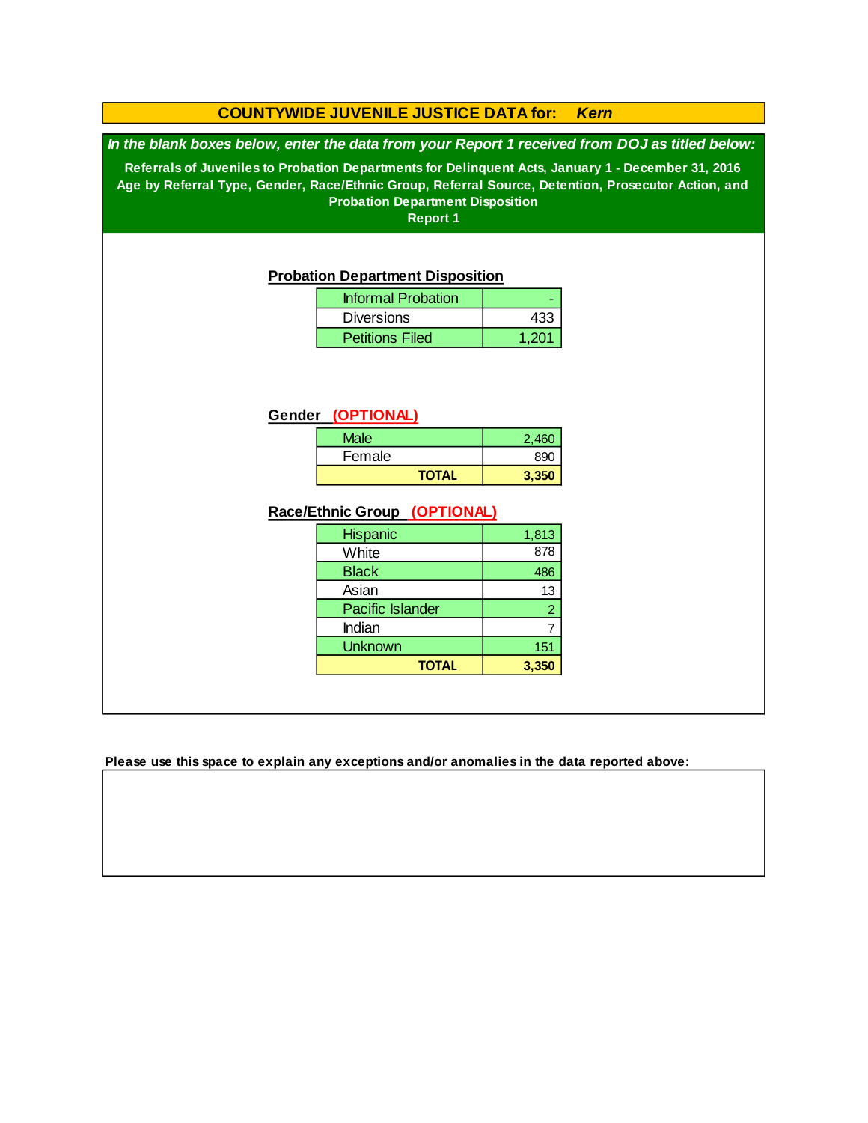### **COUNTYWIDE JUVENILE JUSTICE DATA for:** *Kern*

*In the blank boxes below, enter the data from your Report 1 received from DOJ as titled below:*

**Referrals of Juveniles to Probation Departments for Delinquent Acts, January 1 - December 31, 2016 Age by Referral Type, Gender, Race/Ethnic Group, Referral Source, Detention, Prosecutor Action, and Probation Department Disposition**

**Report 1**

#### **Probation Department Disposition**

| <b>Informal Probation</b> |       |
|---------------------------|-------|
| <b>Diversions</b>         | 433   |
| <b>Petitions Filed</b>    | 1.201 |

#### **Gender (OPTIONAL)**

| Male         | 2,460 |
|--------------|-------|
| Female       | 890   |
| <b>TOTAL</b> | 3,350 |

#### **Race/Ethnic Group (OPTIONAL)**

| <b>Hispanic</b>         | 1,813          |
|-------------------------|----------------|
| White                   | 878            |
| <b>Black</b>            | 486            |
| Asian                   | 13             |
| <b>Pacific Islander</b> | $\overline{2}$ |
| Indian                  |                |
| <b>Unknown</b>          | 151            |
| <b>TOTAL</b>            | 3,350          |

**Please use this space to explain any exceptions and/or anomalies in the data reported above:**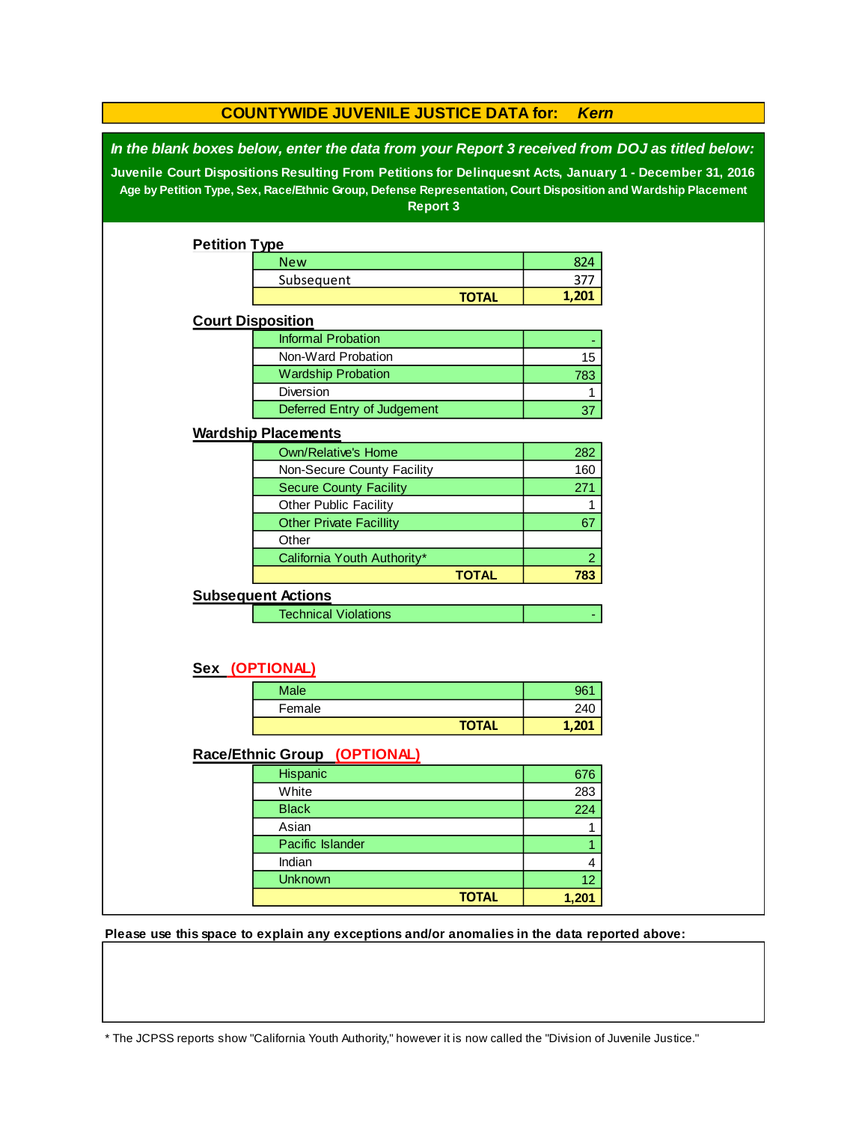| <b>COUNTYWIDE JUVENILE JUSTICE DATA for:</b><br><b>Kern</b> |                                                                                                                                                                                                                                                                                                                                                 |              |                |  |  |
|-------------------------------------------------------------|-------------------------------------------------------------------------------------------------------------------------------------------------------------------------------------------------------------------------------------------------------------------------------------------------------------------------------------------------|--------------|----------------|--|--|
|                                                             | In the blank boxes below, enter the data from your Report 3 received from DOJ as titled below:<br>Juvenile Court Dispositions Resulting From Petitions for Delinquesnt Acts, January 1 - December 31, 2016<br>Age by Petition Type, Sex, Race/Ethnic Group, Defense Representation, Court Disposition and Wardship Placement<br><b>Report 3</b> |              |                |  |  |
| <b>Petition Type</b>                                        |                                                                                                                                                                                                                                                                                                                                                 |              |                |  |  |
|                                                             | <b>New</b>                                                                                                                                                                                                                                                                                                                                      |              | 824            |  |  |
|                                                             | Subsequent                                                                                                                                                                                                                                                                                                                                      |              | 377            |  |  |
|                                                             |                                                                                                                                                                                                                                                                                                                                                 | <b>TOTAL</b> | 1,201          |  |  |
| <b>Court Disposition</b>                                    |                                                                                                                                                                                                                                                                                                                                                 |              |                |  |  |
|                                                             | <b>Informal Probation</b>                                                                                                                                                                                                                                                                                                                       |              |                |  |  |
|                                                             | Non-Ward Probation                                                                                                                                                                                                                                                                                                                              |              | 15             |  |  |
|                                                             | <b>Wardship Probation</b>                                                                                                                                                                                                                                                                                                                       |              | 783            |  |  |
|                                                             | <b>Diversion</b>                                                                                                                                                                                                                                                                                                                                |              | 1              |  |  |
|                                                             | Deferred Entry of Judgement                                                                                                                                                                                                                                                                                                                     |              | 37             |  |  |
|                                                             | <b>Wardship Placements</b>                                                                                                                                                                                                                                                                                                                      |              |                |  |  |
|                                                             | <b>Own/Relative's Home</b>                                                                                                                                                                                                                                                                                                                      |              | 282            |  |  |
|                                                             | Non-Secure County Facility                                                                                                                                                                                                                                                                                                                      |              | 160            |  |  |
|                                                             | <b>Secure County Facility</b>                                                                                                                                                                                                                                                                                                                   |              | 271            |  |  |
|                                                             | Other Public Facility                                                                                                                                                                                                                                                                                                                           |              | 1              |  |  |
|                                                             | <b>Other Private Facillity</b>                                                                                                                                                                                                                                                                                                                  |              | 67             |  |  |
|                                                             | Other                                                                                                                                                                                                                                                                                                                                           |              |                |  |  |
|                                                             | California Youth Authority*                                                                                                                                                                                                                                                                                                                     |              | $\overline{c}$ |  |  |
|                                                             |                                                                                                                                                                                                                                                                                                                                                 | <b>TOTAL</b> | 783            |  |  |
|                                                             | <b>Subsequent Actions</b>                                                                                                                                                                                                                                                                                                                       |              |                |  |  |
|                                                             | <b>Technical Violations</b>                                                                                                                                                                                                                                                                                                                     |              |                |  |  |
|                                                             | Sex (OPTIONAL)                                                                                                                                                                                                                                                                                                                                  |              |                |  |  |
|                                                             |                                                                                                                                                                                                                                                                                                                                                 |              |                |  |  |
|                                                             | Male<br>Female                                                                                                                                                                                                                                                                                                                                  |              | 961<br>240     |  |  |
|                                                             |                                                                                                                                                                                                                                                                                                                                                 |              |                |  |  |
| <b>TOTAL</b><br>1,201                                       |                                                                                                                                                                                                                                                                                                                                                 |              |                |  |  |
| Race/Ethnic Group (OPTIONAL)                                |                                                                                                                                                                                                                                                                                                                                                 |              |                |  |  |
|                                                             | Hispanic                                                                                                                                                                                                                                                                                                                                        |              | 676            |  |  |
|                                                             | White                                                                                                                                                                                                                                                                                                                                           |              | 283            |  |  |
|                                                             | <b>Black</b>                                                                                                                                                                                                                                                                                                                                    |              | 224            |  |  |
|                                                             | Asian                                                                                                                                                                                                                                                                                                                                           |              | 1              |  |  |
|                                                             | Pacific Islander                                                                                                                                                                                                                                                                                                                                |              | 1              |  |  |
|                                                             | Indian                                                                                                                                                                                                                                                                                                                                          |              | 4              |  |  |
|                                                             | <b>Unknown</b>                                                                                                                                                                                                                                                                                                                                  |              | 12             |  |  |
|                                                             |                                                                                                                                                                                                                                                                                                                                                 | <b>TOTAL</b> | 1,201          |  |  |

**Please use this space to explain any exceptions and/or anomalies in the data reported above:** 

\* The JCPSS reports show "California Youth Authority," however it is now called the "Division of Juvenile Justice."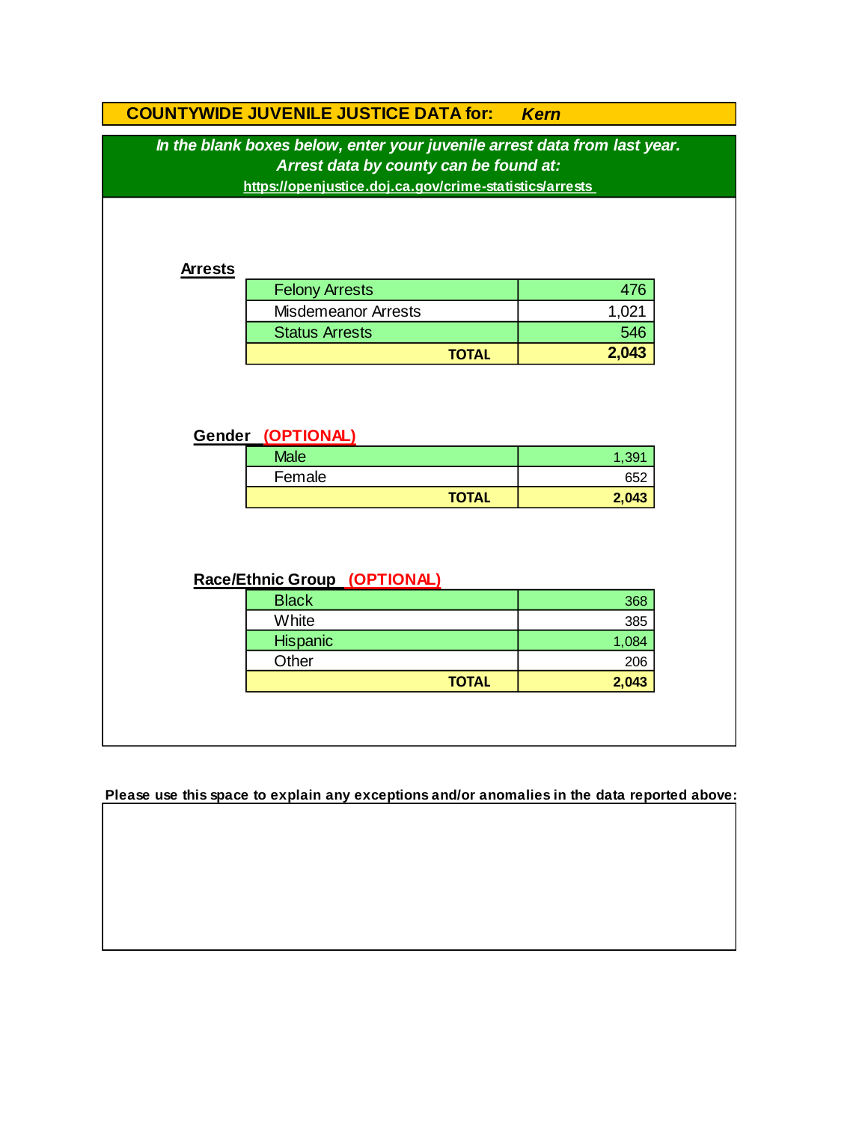| In the blank boxes below, enter your juvenile arrest data from last year.<br>Arrest data by county can be found at:<br>https://openjustice.doj.ca.gov/crime-statistics/arrests<br><b>Arrests</b><br><b>Felony Arrests</b><br>476<br><b>Misdemeanor Arrests</b><br>1,021<br>546<br><b>Status Arrests</b><br>2,043<br><b>TOTAL</b><br>Gender (OPTIONAL)<br><b>Male</b><br>1,391<br>Female<br>652<br><b>TOTAL</b><br>2,043<br>Race/Ethnic Group (OPTIONAL)<br><b>Black</b><br>368<br>White<br>385<br><b>Hispanic</b><br>1,084<br>Other<br>206<br><b>TOTAL</b><br>2,043 |  | <b>COUNTYWIDE JUVENILE JUSTICE DATA for:</b> | <b>Kern</b> |  |  |
|---------------------------------------------------------------------------------------------------------------------------------------------------------------------------------------------------------------------------------------------------------------------------------------------------------------------------------------------------------------------------------------------------------------------------------------------------------------------------------------------------------------------------------------------------------------------|--|----------------------------------------------|-------------|--|--|
|                                                                                                                                                                                                                                                                                                                                                                                                                                                                                                                                                                     |  |                                              |             |  |  |
|                                                                                                                                                                                                                                                                                                                                                                                                                                                                                                                                                                     |  |                                              |             |  |  |
|                                                                                                                                                                                                                                                                                                                                                                                                                                                                                                                                                                     |  |                                              |             |  |  |
|                                                                                                                                                                                                                                                                                                                                                                                                                                                                                                                                                                     |  |                                              |             |  |  |
|                                                                                                                                                                                                                                                                                                                                                                                                                                                                                                                                                                     |  |                                              |             |  |  |
|                                                                                                                                                                                                                                                                                                                                                                                                                                                                                                                                                                     |  |                                              |             |  |  |
|                                                                                                                                                                                                                                                                                                                                                                                                                                                                                                                                                                     |  |                                              |             |  |  |
|                                                                                                                                                                                                                                                                                                                                                                                                                                                                                                                                                                     |  |                                              |             |  |  |
|                                                                                                                                                                                                                                                                                                                                                                                                                                                                                                                                                                     |  |                                              |             |  |  |
|                                                                                                                                                                                                                                                                                                                                                                                                                                                                                                                                                                     |  |                                              |             |  |  |
|                                                                                                                                                                                                                                                                                                                                                                                                                                                                                                                                                                     |  |                                              |             |  |  |
|                                                                                                                                                                                                                                                                                                                                                                                                                                                                                                                                                                     |  |                                              |             |  |  |
|                                                                                                                                                                                                                                                                                                                                                                                                                                                                                                                                                                     |  |                                              |             |  |  |
|                                                                                                                                                                                                                                                                                                                                                                                                                                                                                                                                                                     |  |                                              |             |  |  |
|                                                                                                                                                                                                                                                                                                                                                                                                                                                                                                                                                                     |  |                                              |             |  |  |
|                                                                                                                                                                                                                                                                                                                                                                                                                                                                                                                                                                     |  |                                              |             |  |  |

**Please use this space to explain any exceptions and/or anomalies in the data reported above:**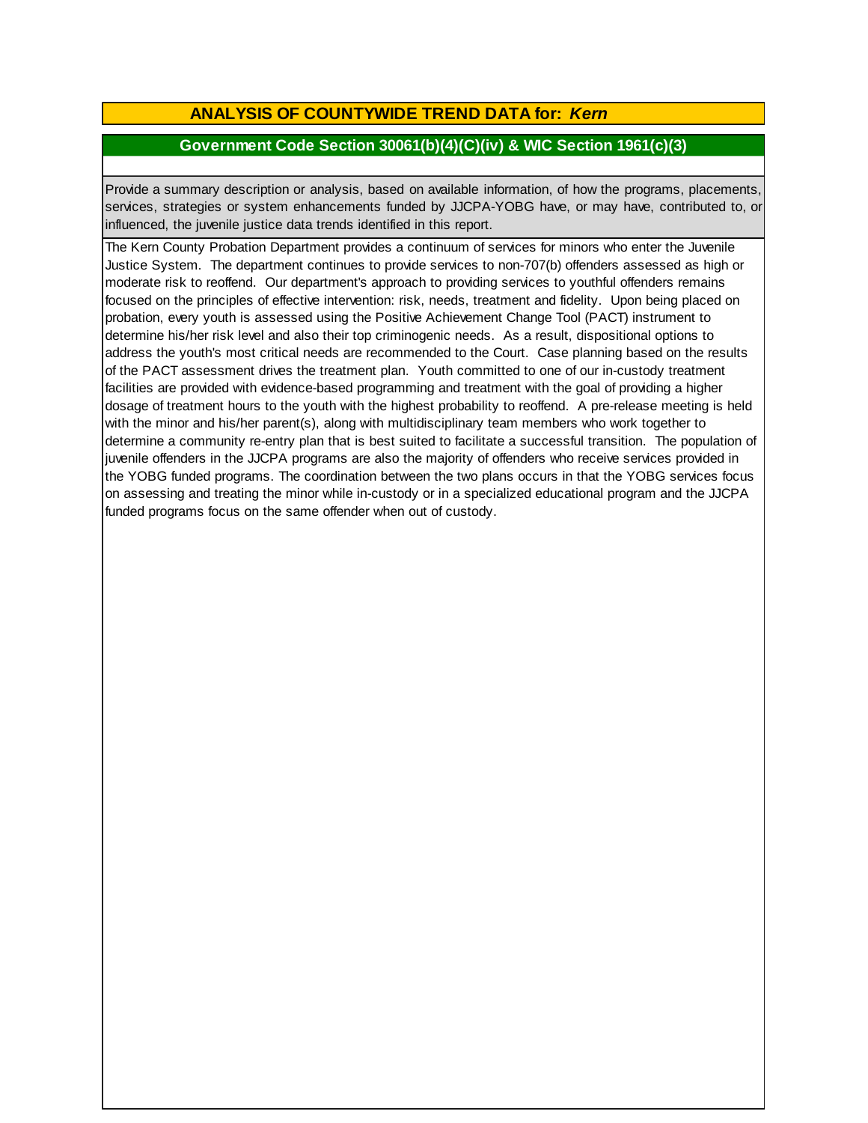# **ANALYSIS OF COUNTYWIDE TREND DATA for:** *Kern*

### **Government Code Section 30061(b)(4)(C)(iv) & WIC Section 1961(c)(3)**

Provide <sup>a</sup> summary description or analysis, based on available information, of how the programs, placements, services, strategies or system enhancements funded by JJCPA-YOBG have, or may have, contributed to, or influenced, the juvenile justice data trends identified in this report.

The Kern County Probation Department provides a continuum of services for minors who enter the Juvenile Justice System. The department continues to provide services to non-707(b) offenders assessed as high or moderate risk to reoffend. Our department's approach to providing services to youthful offenders remains focused on the principles of effective intervention: risk, needs, treatment and fidelity. Upon being placed on probation, every youth is assessed using the Positive Achievement Change Tool (PACT) instrument to determine his/her risk level and also their top criminogenic needs. As a result, dispositional options to address the youth's most critical needs are recommended to the Court. Case planning based on the results of the PACT assessment drives the treatment plan. Youth committed to one of our in-custody treatment facilities are provided with evidence-based programming and treatment with the goal of providing a higher dosage of treatment hours to the youth with the highest probability to reoffend. A pre-release meeting is held with the minor and his/her parent(s), along with multidisciplinary team members who work together to determine a community re-entry plan that is best suited to facilitate a successful transition. The population of juvenile offenders in the JJCPA programs are also the majority of offenders who receive services provided in the YOBG funded programs. The coordination between the two plans occurs in that the YOBG services focus on assessing and treating the minor while in-custody or in a specialized educational program and the JJCPA funded programs focus on the same offender when out of custody.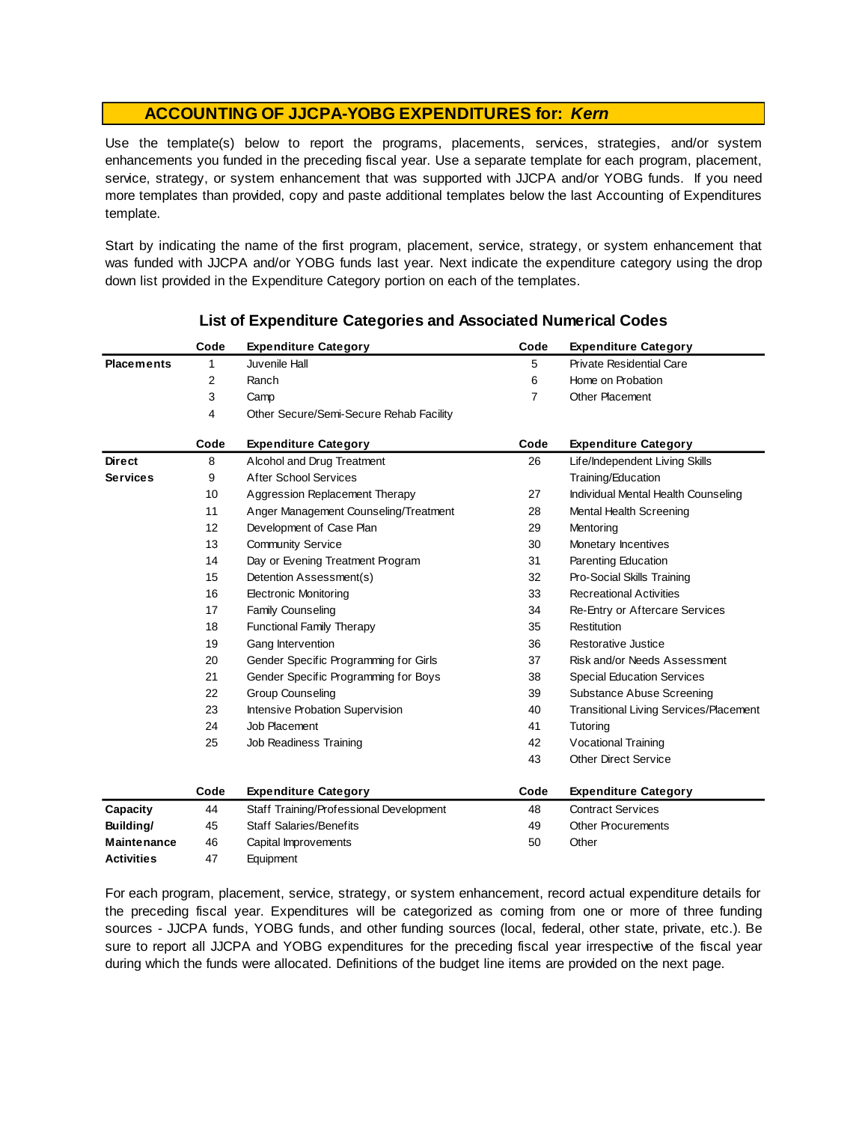Use the template(s) below to report the programs, placements, services, strategies, and/or system enhancements you funded in the preceding fiscal year. Use <sup>a</sup> separate template for each program, placement, service, strategy, or system enhancement that was supported with JJCPA and/or YOBG funds. If you need more templates than provided, copy and paste additional templates below the last Accounting of Expenditures template.

Start by indicating the name of the first program, placement, service, strategy, or system enhancement that was funded with JJCPA and/or YOBG funds last year. Next indicate the expenditure category using the drop down list provided in the Expenditure Category portion on each of the templates.

|                    | Code | <b>Expenditure Category</b>             | Code           | <b>Expenditure Category</b>                   |
|--------------------|------|-----------------------------------------|----------------|-----------------------------------------------|
| <b>Placements</b>  | 1    | Juvenile Hall                           | 5              | <b>Private Residential Care</b>               |
|                    | 2    | Ranch                                   | 6              | Home on Probation                             |
|                    | 3    | Camp                                    | $\overline{7}$ | <b>Other Placement</b>                        |
|                    | 4    | Other Secure/Semi-Secure Rehab Facility |                |                                               |
|                    | Code | <b>Expenditure Category</b>             | Code           | <b>Expenditure Category</b>                   |
| <b>Direct</b>      | 8    | Alcohol and Drug Treatment              | 26             | Life/Independent Living Skills                |
| <b>Services</b>    | 9    | <b>After School Services</b>            |                | Training/Education                            |
|                    | 10   | Aggression Replacement Therapy          | 27             | Individual Mental Health Counseling           |
|                    | 11   | Anger Management Counseling/Treatment   | 28             | Mental Health Screening                       |
|                    | 12   | Development of Case Plan                | 29             | Mentoring                                     |
|                    | 13   | <b>Community Service</b>                | 30             | Monetary Incentives                           |
|                    | 14   | Day or Evening Treatment Program        | 31             | Parenting Education                           |
|                    | 15   | Detention Assessment(s)                 | 32             | Pro-Social Skills Training                    |
|                    | 16   | <b>Electronic Monitoring</b>            | 33             | <b>Recreational Activities</b>                |
|                    | 17   | <b>Family Counseling</b>                | 34             | Re-Entry or Aftercare Services                |
|                    | 18   | <b>Functional Family Therapy</b>        | 35             | Restitution                                   |
|                    | 19   | Gang Intervention                       | 36             | Restorative Justice                           |
|                    | 20   | Gender Specific Programming for Girls   | 37             | Risk and/or Needs Assessment                  |
|                    | 21   | Gender Specific Programming for Boys    | 38             | <b>Special Education Services</b>             |
|                    | 22   | <b>Group Counseling</b>                 | 39             | <b>Substance Abuse Screening</b>              |
|                    | 23   | Intensive Probation Supervision         | 40             | <b>Transitional Living Services/Placement</b> |
|                    | 24   | Job Placement                           | 41             | Tutoring                                      |
|                    | 25   | Job Readiness Training                  | 42             | Vocational Training                           |
|                    |      |                                         | 43             | <b>Other Direct Service</b>                   |
|                    | Code | <b>Expenditure Category</b>             | Code           | <b>Expenditure Category</b>                   |
| Capacity           | 44   | Staff Training/Professional Development | 48             | <b>Contract Services</b>                      |
| Building/          | 45   | <b>Staff Salaries/Benefits</b>          | 49             | <b>Other Procurements</b>                     |
| <b>Maintenance</b> | 46   | Capital Improvements                    | 50             | Other                                         |
| <b>Activities</b>  | 47   | Equipment                               |                |                                               |

### **List of Expenditure Categories and Associated Numerical Codes**

For each program, placement, service, strategy, or system enhancement, record actual expenditure details for the preceding fiscal year. Expenditures will be categorized as coming from one or more of three funding sources - JJCPA funds, YOBG funds, and other funding sources (local, federal, other state, private, etc.). Be sure to report all JJCPA and YOBG expenditures for the preceding fiscal year irrespective of the fiscal year during which the funds were allocated. Definitions of the budget line items are provided on the next page.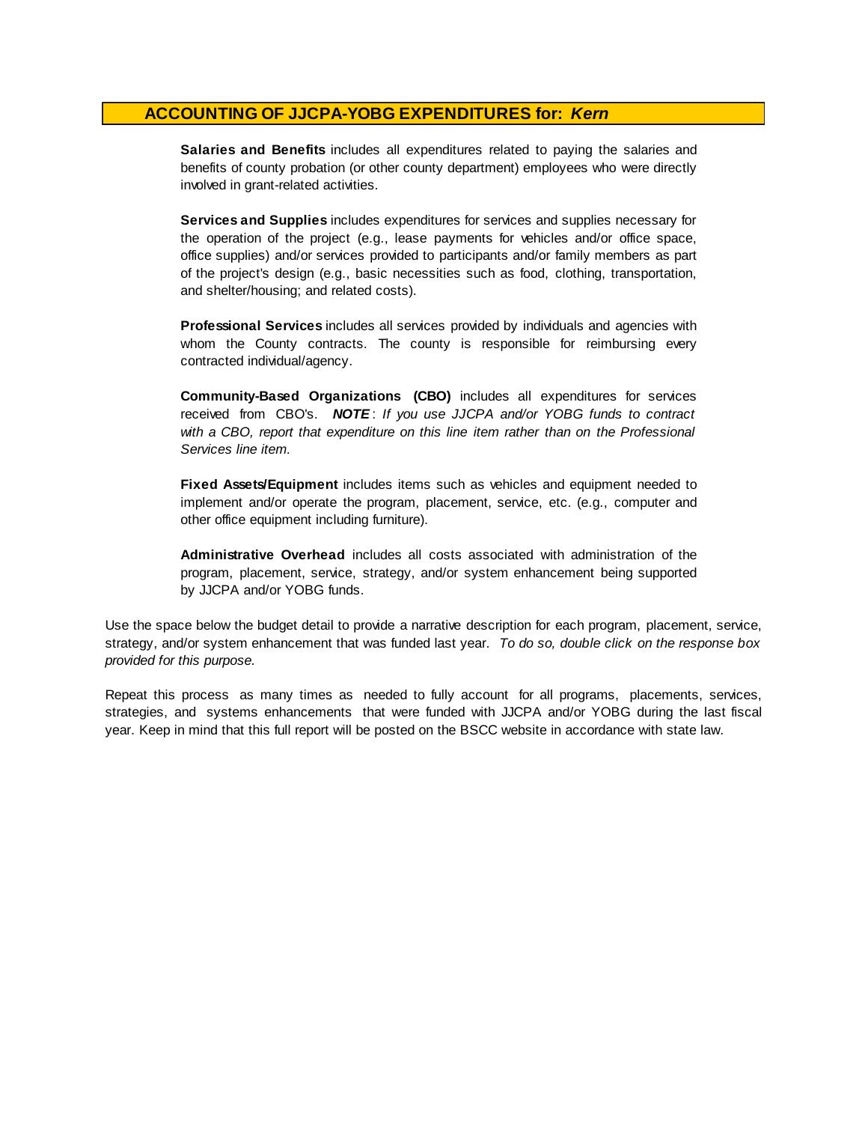**Salaries and Benefits** includes all expenditures related to paying the salaries and benefits of county probation (or other county department) employees who were directly involved in grant-related activities.

**Services and Supplies** includes expenditures for services and supplies necessary for the operation of the project (e.g., lease payments for vehicles and/or office space, office supplies) and/or services provided to participants and/or family members as part of the project's design (e.g., basic necessities such as food, clothing, transportation, and shelter/housing; and related costs).

**Professional Services** includes all services provided by individuals and agencies with whom the County contracts. The county is responsible for reimbursing every contracted individual/agency.

**Community-Based Organizations (CBO)** includes all expenditures for services received from CBO's. *NOTE* : *I f you use JJCPA and/or YOBG funds t o contract with <sup>a</sup> CBO, report that expenditure on this line item rather than on the Professional Services line item.*

**Fixed Assets/Equipment** includes items such as vehicles and equipment needed to implement and/or operate the program, placement, service, etc. (e.g., computer and other office equipment including furniture).

**Administrative Overhead** includes all costs associated with administration of the program, placement, service, strategy, and/or system enhancement being supported by JJCPA and/or YOBG funds.

Use the space below the budget detail to provide a narrative description for each program, placement, service, strategy, and/or system enhancement that was funded last year. *To do so, double click on the response box provided for this purpose.* 

Repeat this process as many times as needed to fully account for all programs, placements, services, strategies, and systems enhancements that were funded with JJCPA and/or YOBG during the last fiscal year. Keep in mind that this full report will be posted on the BSCC website in accordance with state law.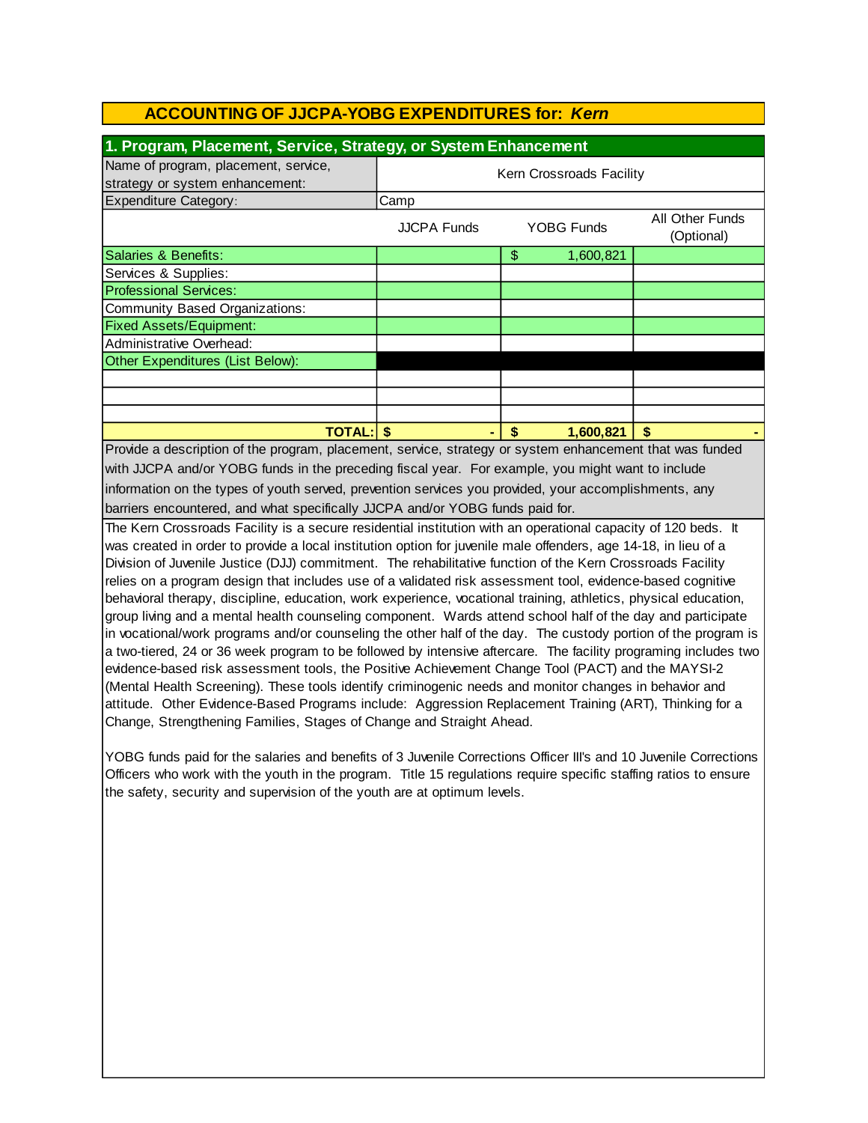| Kern Crossroads Facility<br>strategy or system enhancement:<br>Camp<br>All Other Funds<br><b>JJCPA Funds</b><br><b>YOBG Funds</b><br>(Optional)<br>\$<br>Salaries & Benefits:<br>1,600,821<br>Services & Supplies:<br><b>Professional Services:</b><br><b>Community Based Organizations:</b><br><b>Fixed Assets/Equipment:</b><br>Administrative Overhead:<br>Other Expenditures (List Below):<br><b>TOTAL: \$</b><br>\$<br>\$<br>1,600,821<br>The Kern Crossroads Facility is a secure residential institution with an operational capacity of 120 beds. It<br>was created in order to provide a local institution option for juvenile male offenders, age 14-18, in lieu of a<br>Division of Juvenile Justice (DJJ) commitment. The rehabilitative function of the Kern Crossroads Facility<br>relies on a program design that includes use of a validated risk assessment tool, evidence-based cognitive<br>evidence-based risk assessment tools, the Positive Achievement Change Tool (PACT) and the MAYSI-2<br>(Mental Health Screening). These tools identify criminogenic needs and monitor changes in behavior and<br>attitude. Other Evidence-Based Programs include: Aggression Replacement Training (ART), Thinking for a<br>Change, Strengthening Families, Stages of Change and Straight Ahead.<br>Officers who work with the youth in the program. Title 15 regulations require specific staffing ratios to ensure | 1. Program, Placement, Service, Strategy, or System Enhancement                                                                                                                                                                                                                                                                                        |  |  |  |  |  |
|----------------------------------------------------------------------------------------------------------------------------------------------------------------------------------------------------------------------------------------------------------------------------------------------------------------------------------------------------------------------------------------------------------------------------------------------------------------------------------------------------------------------------------------------------------------------------------------------------------------------------------------------------------------------------------------------------------------------------------------------------------------------------------------------------------------------------------------------------------------------------------------------------------------------------------------------------------------------------------------------------------------------------------------------------------------------------------------------------------------------------------------------------------------------------------------------------------------------------------------------------------------------------------------------------------------------------------------------------------------------------------------------------------------------------------|--------------------------------------------------------------------------------------------------------------------------------------------------------------------------------------------------------------------------------------------------------------------------------------------------------------------------------------------------------|--|--|--|--|--|
| Expenditure Category:<br>Provide a description of the program, placement, service, strategy or system enhancement that was funded<br>with JJCPA and/or YOBG funds in the preceding fiscal year. For example, you might want to include<br>information on the types of youth served, prevention services you provided, your accomplishments, any<br>barriers encountered, and what specifically JJCPA and/or YOBG funds paid for.<br>behavioral therapy, discipline, education, work experience, vocational training, athletics, physical education,<br>group living and a mental health counseling component. Wards attend school half of the day and participate<br>the safety, security and supervision of the youth are at optimum levels.                                                                                                                                                                                                                                                                                                                                                                                                                                                                                                                                                                                                                                                                                    | Name of program, placement, service,                                                                                                                                                                                                                                                                                                                   |  |  |  |  |  |
|                                                                                                                                                                                                                                                                                                                                                                                                                                                                                                                                                                                                                                                                                                                                                                                                                                                                                                                                                                                                                                                                                                                                                                                                                                                                                                                                                                                                                                  |                                                                                                                                                                                                                                                                                                                                                        |  |  |  |  |  |
|                                                                                                                                                                                                                                                                                                                                                                                                                                                                                                                                                                                                                                                                                                                                                                                                                                                                                                                                                                                                                                                                                                                                                                                                                                                                                                                                                                                                                                  |                                                                                                                                                                                                                                                                                                                                                        |  |  |  |  |  |
|                                                                                                                                                                                                                                                                                                                                                                                                                                                                                                                                                                                                                                                                                                                                                                                                                                                                                                                                                                                                                                                                                                                                                                                                                                                                                                                                                                                                                                  |                                                                                                                                                                                                                                                                                                                                                        |  |  |  |  |  |
|                                                                                                                                                                                                                                                                                                                                                                                                                                                                                                                                                                                                                                                                                                                                                                                                                                                                                                                                                                                                                                                                                                                                                                                                                                                                                                                                                                                                                                  |                                                                                                                                                                                                                                                                                                                                                        |  |  |  |  |  |
|                                                                                                                                                                                                                                                                                                                                                                                                                                                                                                                                                                                                                                                                                                                                                                                                                                                                                                                                                                                                                                                                                                                                                                                                                                                                                                                                                                                                                                  |                                                                                                                                                                                                                                                                                                                                                        |  |  |  |  |  |
|                                                                                                                                                                                                                                                                                                                                                                                                                                                                                                                                                                                                                                                                                                                                                                                                                                                                                                                                                                                                                                                                                                                                                                                                                                                                                                                                                                                                                                  |                                                                                                                                                                                                                                                                                                                                                        |  |  |  |  |  |
|                                                                                                                                                                                                                                                                                                                                                                                                                                                                                                                                                                                                                                                                                                                                                                                                                                                                                                                                                                                                                                                                                                                                                                                                                                                                                                                                                                                                                                  |                                                                                                                                                                                                                                                                                                                                                        |  |  |  |  |  |
|                                                                                                                                                                                                                                                                                                                                                                                                                                                                                                                                                                                                                                                                                                                                                                                                                                                                                                                                                                                                                                                                                                                                                                                                                                                                                                                                                                                                                                  |                                                                                                                                                                                                                                                                                                                                                        |  |  |  |  |  |
|                                                                                                                                                                                                                                                                                                                                                                                                                                                                                                                                                                                                                                                                                                                                                                                                                                                                                                                                                                                                                                                                                                                                                                                                                                                                                                                                                                                                                                  |                                                                                                                                                                                                                                                                                                                                                        |  |  |  |  |  |
|                                                                                                                                                                                                                                                                                                                                                                                                                                                                                                                                                                                                                                                                                                                                                                                                                                                                                                                                                                                                                                                                                                                                                                                                                                                                                                                                                                                                                                  |                                                                                                                                                                                                                                                                                                                                                        |  |  |  |  |  |
|                                                                                                                                                                                                                                                                                                                                                                                                                                                                                                                                                                                                                                                                                                                                                                                                                                                                                                                                                                                                                                                                                                                                                                                                                                                                                                                                                                                                                                  |                                                                                                                                                                                                                                                                                                                                                        |  |  |  |  |  |
|                                                                                                                                                                                                                                                                                                                                                                                                                                                                                                                                                                                                                                                                                                                                                                                                                                                                                                                                                                                                                                                                                                                                                                                                                                                                                                                                                                                                                                  |                                                                                                                                                                                                                                                                                                                                                        |  |  |  |  |  |
|                                                                                                                                                                                                                                                                                                                                                                                                                                                                                                                                                                                                                                                                                                                                                                                                                                                                                                                                                                                                                                                                                                                                                                                                                                                                                                                                                                                                                                  |                                                                                                                                                                                                                                                                                                                                                        |  |  |  |  |  |
|                                                                                                                                                                                                                                                                                                                                                                                                                                                                                                                                                                                                                                                                                                                                                                                                                                                                                                                                                                                                                                                                                                                                                                                                                                                                                                                                                                                                                                  |                                                                                                                                                                                                                                                                                                                                                        |  |  |  |  |  |
|                                                                                                                                                                                                                                                                                                                                                                                                                                                                                                                                                                                                                                                                                                                                                                                                                                                                                                                                                                                                                                                                                                                                                                                                                                                                                                                                                                                                                                  |                                                                                                                                                                                                                                                                                                                                                        |  |  |  |  |  |
|                                                                                                                                                                                                                                                                                                                                                                                                                                                                                                                                                                                                                                                                                                                                                                                                                                                                                                                                                                                                                                                                                                                                                                                                                                                                                                                                                                                                                                  |                                                                                                                                                                                                                                                                                                                                                        |  |  |  |  |  |
|                                                                                                                                                                                                                                                                                                                                                                                                                                                                                                                                                                                                                                                                                                                                                                                                                                                                                                                                                                                                                                                                                                                                                                                                                                                                                                                                                                                                                                  |                                                                                                                                                                                                                                                                                                                                                        |  |  |  |  |  |
|                                                                                                                                                                                                                                                                                                                                                                                                                                                                                                                                                                                                                                                                                                                                                                                                                                                                                                                                                                                                                                                                                                                                                                                                                                                                                                                                                                                                                                  |                                                                                                                                                                                                                                                                                                                                                        |  |  |  |  |  |
|                                                                                                                                                                                                                                                                                                                                                                                                                                                                                                                                                                                                                                                                                                                                                                                                                                                                                                                                                                                                                                                                                                                                                                                                                                                                                                                                                                                                                                  | in vocational/work programs and/or counseling the other half of the day. The custody portion of the program is<br>a two-tiered, 24 or 36 week program to be followed by intensive aftercare. The facility programing includes two<br>YOBG funds paid for the salaries and benefits of 3 Juvenile Corrections Officer III's and 10 Juvenile Corrections |  |  |  |  |  |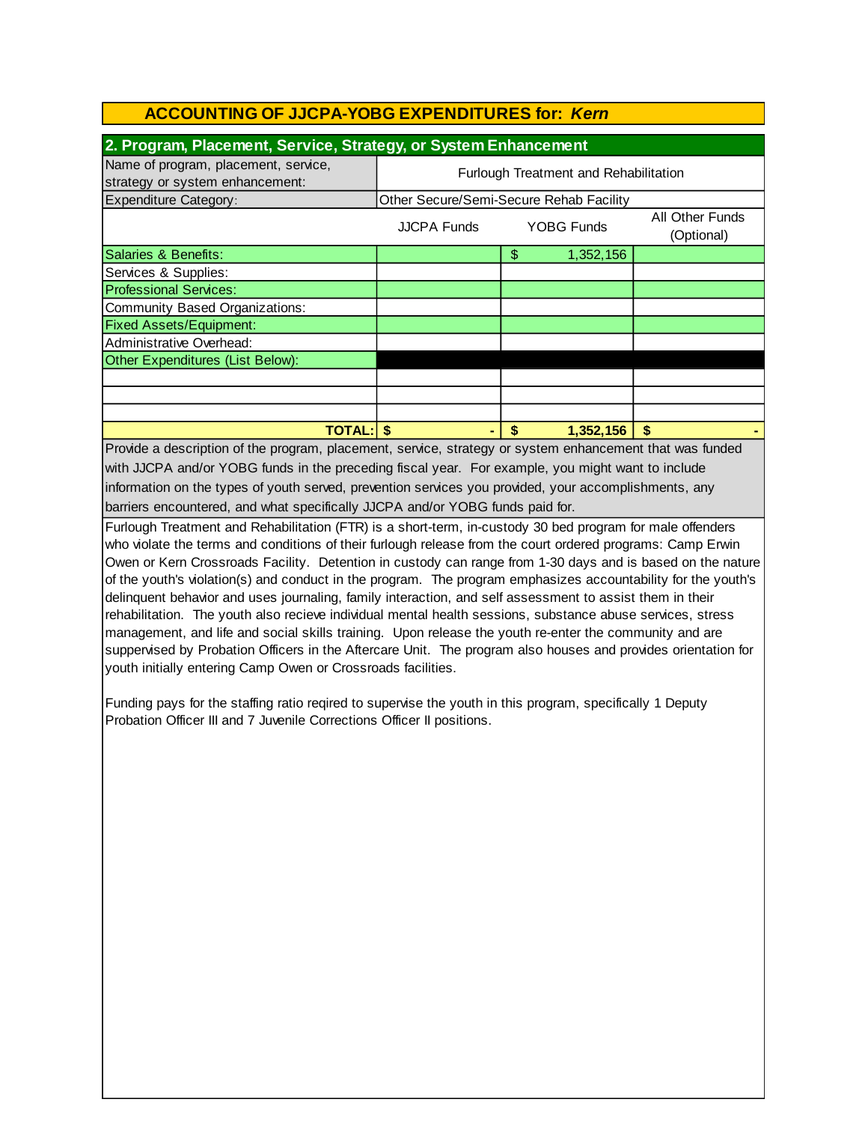| 2. Program, Placement, Service, Strategy, or System Enhancement                                          |                                              |                                         |                               |  |  |
|----------------------------------------------------------------------------------------------------------|----------------------------------------------|-----------------------------------------|-------------------------------|--|--|
| Name of program, placement, service,<br>strategy or system enhancement:                                  | <b>Furlough Treatment and Rehabilitation</b> |                                         |                               |  |  |
| Expenditure Category:                                                                                    |                                              | Other Secure/Semi-Secure Rehab Facility |                               |  |  |
|                                                                                                          | <b>JJCPA Funds</b>                           | <b>YOBG Funds</b>                       | All Other Funds<br>(Optional) |  |  |
| Salaries & Benefits:                                                                                     |                                              | \$<br>1,352,156                         |                               |  |  |
| Services & Supplies:                                                                                     |                                              |                                         |                               |  |  |
| <b>Professional Services:</b>                                                                            |                                              |                                         |                               |  |  |
| Community Based Organizations:                                                                           |                                              |                                         |                               |  |  |
| <b>Fixed Assets/Equipment:</b>                                                                           |                                              |                                         |                               |  |  |
| Administrative Overhead:                                                                                 |                                              |                                         |                               |  |  |
| Other Expenditures (List Below):                                                                         |                                              |                                         |                               |  |  |
|                                                                                                          |                                              |                                         |                               |  |  |
|                                                                                                          |                                              |                                         |                               |  |  |
|                                                                                                          |                                              |                                         |                               |  |  |
| <b>TOTAL:IS</b><br>\$<br>\$.<br>1,352,156                                                                |                                              |                                         |                               |  |  |
| Provide a description of the program, placement, service, strategy or system enhancement that was funded |                                              |                                         |                               |  |  |

barriers encountered, and what specifically JJCPA and/or YOBG funds paid for. with JJCPA and/or YOBG funds in the preceding fiscal year. For example, you might want to include information on the types of youth served, prevention services you provided, your accomplishments, any

Furlough Treatment and Rehabilitation (FTR) is a short-term, in-custody 30 bed program for male offenders who violate the terms and conditions of their furlough release from the court ordered programs: Camp Erwin Owen or Kern Crossroads Facility. Detention in custody can range from 1-30 days and is based on the nature of the youth's violation(s) and conduct in the program. The program emphasizes accountability for the youth's delinquent behavior and uses journaling, family interaction, and self assessment to assist them in their rehabilitation. The youth also recieve individual mental health sessions, substance abuse services, stress management, and life and social skills training. Upon release the youth re-enter the community and are suppervised by Probation Officers in the Aftercare Unit. The program also houses and provides orientation for youth initially entering Camp Owen or Crossroads facilities.

Funding pays for the staffing ratio reqired to supervise the youth in this program, specifically 1 Deputy Probation Officer III and 7 Juvenile Corrections Officer II positions.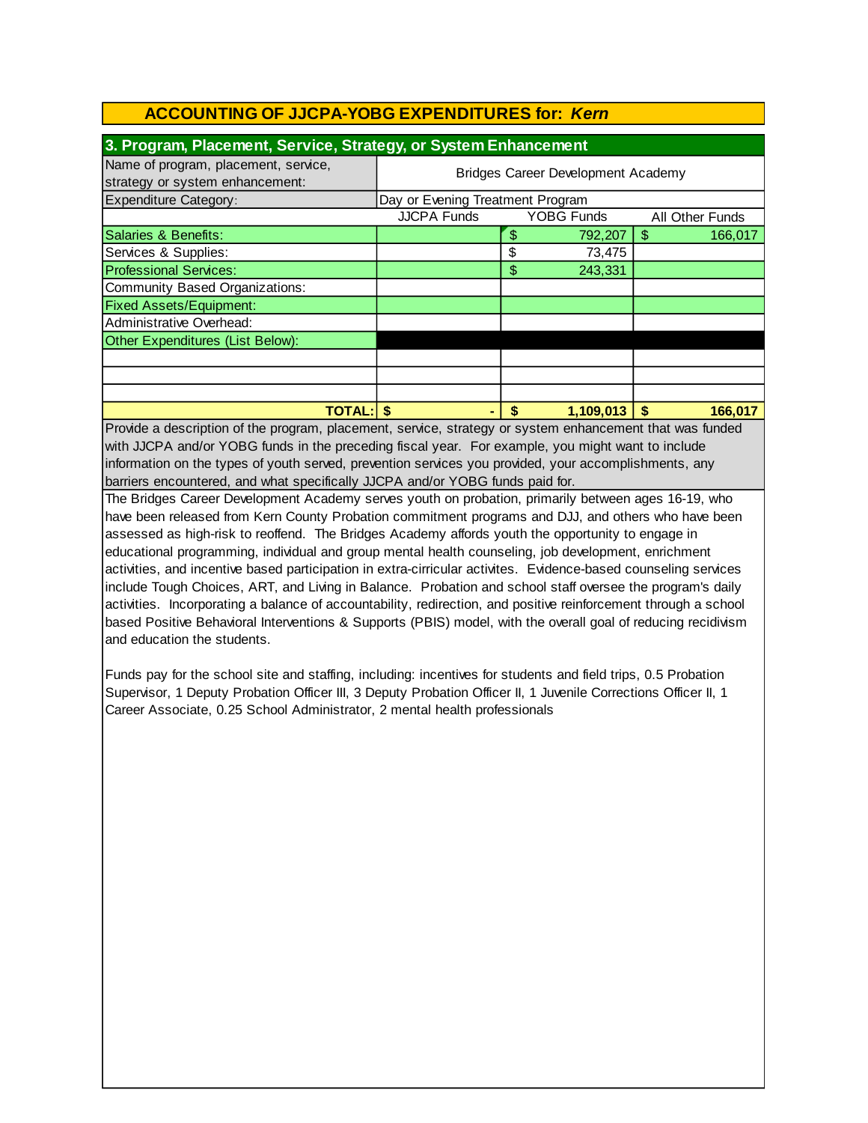| 3. Program, Placement, Service, Strategy, or System Enhancement         |                                           |    |                   |                 |         |
|-------------------------------------------------------------------------|-------------------------------------------|----|-------------------|-----------------|---------|
| Name of program, placement, service,<br>strategy or system enhancement: | <b>Bridges Career Development Academy</b> |    |                   |                 |         |
| <b>Expenditure Category:</b>                                            | Day or Evening Treatment Program          |    |                   |                 |         |
|                                                                         | <b>JJCPA Funds</b>                        |    | <b>YOBG Funds</b> | All Other Funds |         |
| Salaries & Benefits:                                                    |                                           | \$ | 792,207           | \$.             | 166,017 |
| Services & Supplies:                                                    |                                           | \$ | 73,475            |                 |         |
| <b>Professional Services:</b>                                           |                                           | \$ | 243,331           |                 |         |
| Community Based Organizations:                                          |                                           |    |                   |                 |         |
| <b>Fixed Assets/Equipment:</b>                                          |                                           |    |                   |                 |         |
| Administrative Overhead:                                                |                                           |    |                   |                 |         |
| Other Expenditures (List Below):                                        |                                           |    |                   |                 |         |
|                                                                         |                                           |    |                   |                 |         |
|                                                                         |                                           |    |                   |                 |         |
|                                                                         |                                           |    |                   |                 |         |
| <b>TOTAL:</b>                                                           |                                           | \$ | 1,109,013         |                 | 166,017 |

barriers encountered, and what specifically JJCPA and/or YOBG funds paid for. information on the types of youth served, prevention services you provided, your accomplishments, any Provide a description of the program, placement, service, strategy or system enhancement that was funded with JJCPA and/or YOBG funds in the preceding fiscal year. For example, you might want to include

The Bridges Career Development Academy serves youth on probation, primarily between ages 16-19, who have been released from Kern County Probation commitment programs and DJJ, and others who have been assessed as high-risk to reoffend. The Bridges Academy affords youth the opportunity to engage in educational programming, individual and group mental health counseling, job development, enrichment activities, and incentive based participation in extra-cirricular activites. Evidence-based counseling services include Tough Choices, ART, and Living in Balance. Probation and school staff oversee the program's daily activities. Incorporating a balance of accountability, redirection, and positive reinforcement through a school based Positive Behavioral Interventions & Supports (PBIS) model, with the overall goal of reducing recidivism and education the students.

Funds pay for the school site and staffing, including: incentives for students and field trips, 0.5 Probation Supervisor, 1 Deputy Probation Officer III, 3 Deputy Probation Officer II, 1 Juvenile Corrections Officer II, 1 Career Associate, 0.25 School Administrator, 2 mental health professionals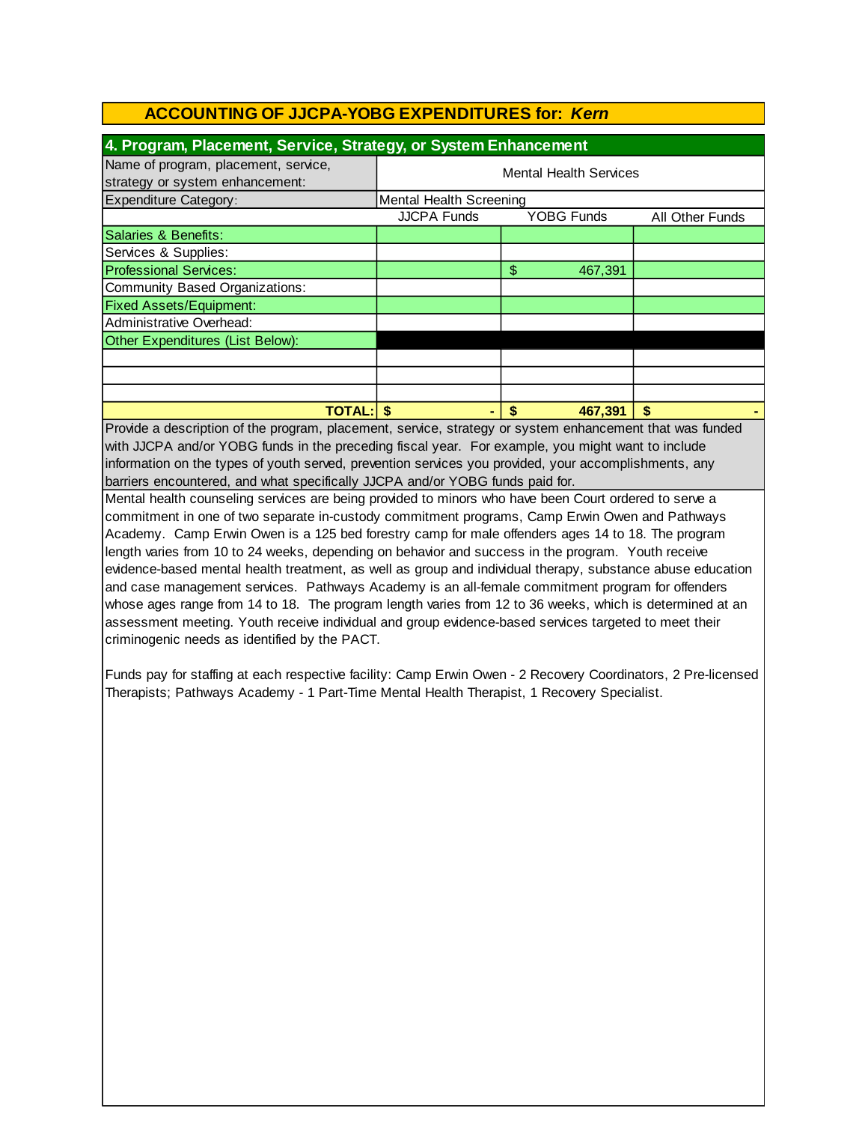| 4. Program, Placement, Service, Strategy, or System Enhancement         |                                |                   |                 |  |  |
|-------------------------------------------------------------------------|--------------------------------|-------------------|-----------------|--|--|
| Name of program, placement, service,<br>strategy or system enhancement: | <b>Mental Health Services</b>  |                   |                 |  |  |
| Expenditure Category:                                                   | <b>Mental Health Screening</b> |                   |                 |  |  |
|                                                                         | <b>JJCPA Funds</b>             | <b>YOBG Funds</b> | All Other Funds |  |  |
| Salaries & Benefits:                                                    |                                |                   |                 |  |  |
| Services & Supplies:                                                    |                                |                   |                 |  |  |
| <b>Professional Services:</b>                                           |                                | \$<br>467,391     |                 |  |  |
| Community Based Organizations:                                          |                                |                   |                 |  |  |
| <b>Fixed Assets/Equipment:</b>                                          |                                |                   |                 |  |  |
| Administrative Overhead:                                                |                                |                   |                 |  |  |
| Other Expenditures (List Below):                                        |                                |                   |                 |  |  |
|                                                                         |                                |                   |                 |  |  |
|                                                                         |                                |                   |                 |  |  |
|                                                                         |                                |                   |                 |  |  |
| <b>TOTAL:</b>                                                           |                                | 467,391<br>S      | S               |  |  |

Provide a description of the program, placement, service, strategy or system enhancement that was funded with JJCPA and/or YOBG funds in the preceding fiscal year. For example, you might want to include information on the types of youth served, prevention services you provided, your accomplishments, any barriers encountered, and what specifically JJCPA and/or YOBG funds paid for.

Mental health counseling services are being provided to minors who have been Court ordered to serve a commitment in one of two separate in-custody commitment programs, Camp Erwin Owen and Pathways Academy. Camp Erwin Owen is a 125 bed forestry camp for male offenders ages 14 to 18. The program length varies from 10 to 24 weeks, depending on behavior and success in the program. Youth receive evidence-based mental health treatment, as well as group and individual therapy, substance abuse education and case management services. Pathways Academy is an all-female commitment program for offenders whose ages range from 14 to 18. The program length varies from 12 to 36 weeks, which is determined at an assessment meeting. Youth receive individual and group evidence-based services targeted to meet their criminogenic needs as identified by the PACT.

Funds pay for staffing at each respective facility: Camp Erwin Owen - 2 Recovery Coordinators, 2 Pre-licensed Therapists; Pathways Academy - 1 Part-Time Mental Health Therapist, 1 Recovery Specialist.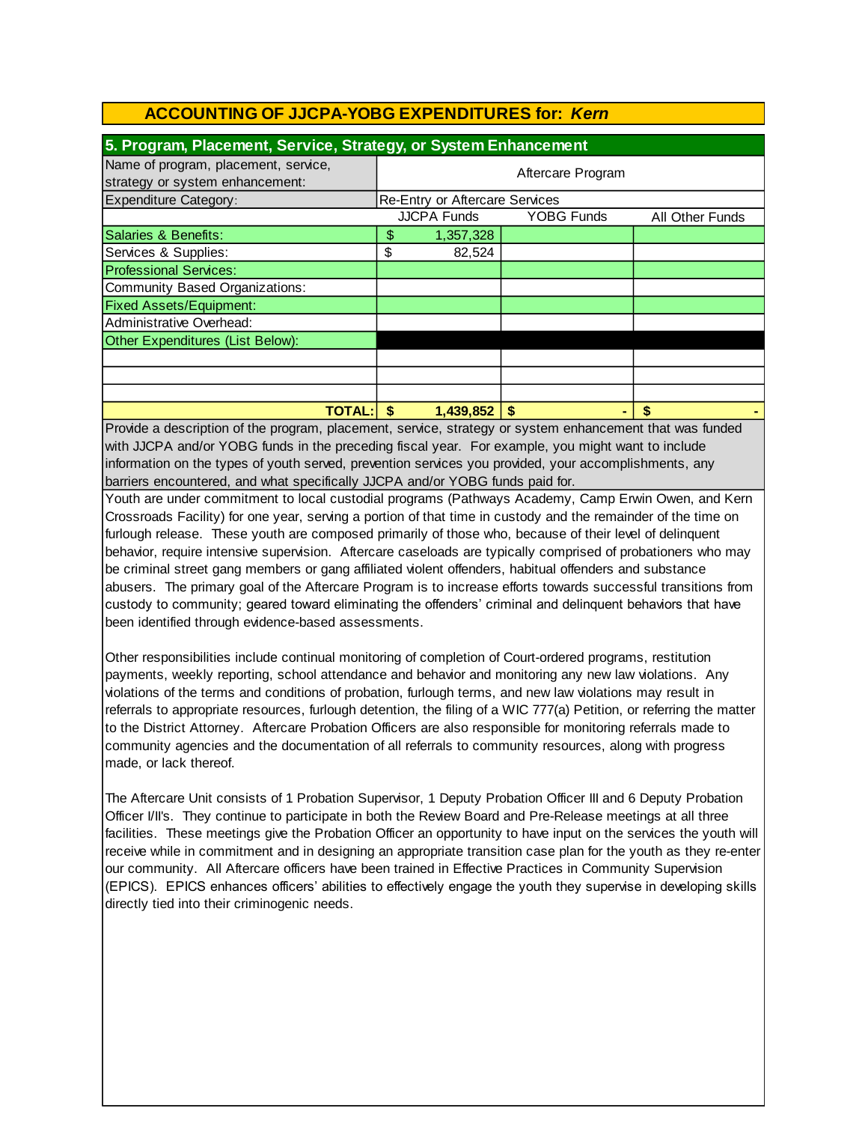| 5. Program, Placement, Service, Strategy, or System Enhancement         |                   |                                       |                   |                 |  |
|-------------------------------------------------------------------------|-------------------|---------------------------------------|-------------------|-----------------|--|
| Name of program, placement, service,<br>strategy or system enhancement: | Aftercare Program |                                       |                   |                 |  |
| <b>Expenditure Category:</b>                                            |                   | <b>Re-Entry or Aftercare Services</b> |                   |                 |  |
|                                                                         |                   | <b>JJCPA Funds</b>                    | <b>YOBG Funds</b> | All Other Funds |  |
| Salaries & Benefits:                                                    | \$                | 1,357,328                             |                   |                 |  |
| Services & Supplies:                                                    | \$                | 82,524                                |                   |                 |  |
| <b>Professional Services:</b>                                           |                   |                                       |                   |                 |  |
| Community Based Organizations:                                          |                   |                                       |                   |                 |  |
| <b>Fixed Assets/Equipment:</b>                                          |                   |                                       |                   |                 |  |
| Administrative Overhead:                                                |                   |                                       |                   |                 |  |
| Other Expenditures (List Below):                                        |                   |                                       |                   |                 |  |
|                                                                         |                   |                                       |                   |                 |  |
|                                                                         |                   |                                       |                   |                 |  |
|                                                                         |                   |                                       |                   |                 |  |
| <b>TOTAL:</b>                                                           | \$.               | $1,439,852$   \$                      |                   | S               |  |

Provide a description of the program, placement, service, strategy or system enhancement that was funded with JJCPA and/or YOBG funds in the preceding fiscal year. For example, you might want to include information on the types of youth served, prevention services you provided, your accomplishments, any barriers encountered, and what specifically JJCPA and/or YOBG funds paid for.

Youth are under commitment to local custodial programs (Pathways Academy, Camp Erwin Owen, and Kern Crossroads Facility) for one year, serving a portion of that time in custody and the remainder of the time on furlough release. These youth are composed primarily of those who, because of their level of delinquent behavior, require intensive supervision. Aftercare caseloads are typically comprised of probationers who may be criminal street gang members or gang affiliated violent offenders, habitual offenders and substance abusers. The primary goal of the Aftercare Program is to increase efforts towards successful transitions from custody to community; geared toward eliminating the offenders' criminal and delinquent behaviors that have been identified through evidence-based assessments.

Other responsibilities include continual monitoring of completion of Court-ordered programs, restitution payments, weekly reporting, school attendance and behavior and monitoring any new law violations. Any violations of the terms and conditions of probation, furlough terms, and new law violations may result in referrals to appropriate resources, furlough detention, the filing of a WIC 777(a) Petition, or referring the matter to the District Attorney. Aftercare Probation Officers are also responsible for monitoring referrals made to community agencies and the documentation of all referrals to community resources, along with progress made, or lack thereof.

The Aftercare Unit consists of 1 Probation Supervisor, 1 Deputy Probation Officer III and 6 Deputy Probation Officer I/II's. They continue to participate in both the Review Board and Pre-Release meetings at all three facilities. These meetings give the Probation Officer an opportunity to have input on the services the youth will receive while in commitment and in designing an appropriate transition case plan for the youth as they re-enter our community. All Aftercare officers have been trained in Effective Practices in Community Supervision (EPICS). EPICS enhances officers' abilities to effectively engage the youth they supervise in developing skills directly tied into their criminogenic needs.